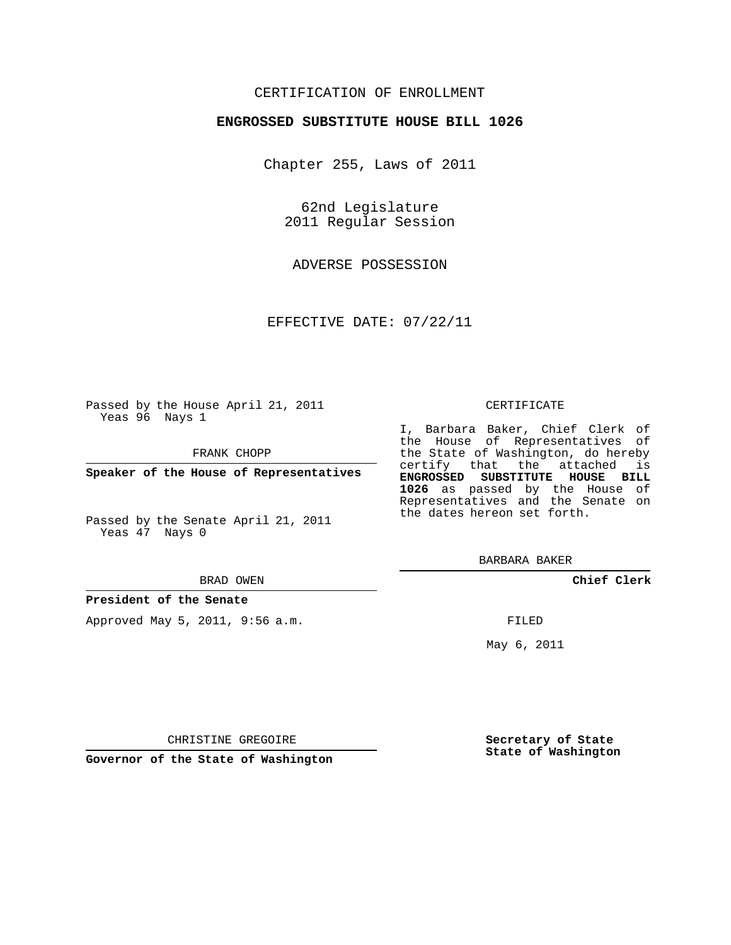## CERTIFICATION OF ENROLLMENT

### **ENGROSSED SUBSTITUTE HOUSE BILL 1026**

Chapter 255, Laws of 2011

62nd Legislature 2011 Regular Session

ADVERSE POSSESSION

EFFECTIVE DATE: 07/22/11

Passed by the House April 21, 2011 Yeas 96 Nays 1

FRANK CHOPP

**Speaker of the House of Representatives**

Passed by the Senate April 21, 2011 Yeas 47 Nays 0

#### BRAD OWEN

#### **President of the Senate**

Approved May 5, 2011, 9:56 a.m.

#### CERTIFICATE

I, Barbara Baker, Chief Clerk of the House of Representatives of the State of Washington, do hereby certify that the attached is **ENGROSSED SUBSTITUTE HOUSE BILL 1026** as passed by the House of Representatives and the Senate on the dates hereon set forth.

BARBARA BAKER

**Chief Clerk**

FILED

May 6, 2011

**Secretary of State State of Washington**

CHRISTINE GREGOIRE

**Governor of the State of Washington**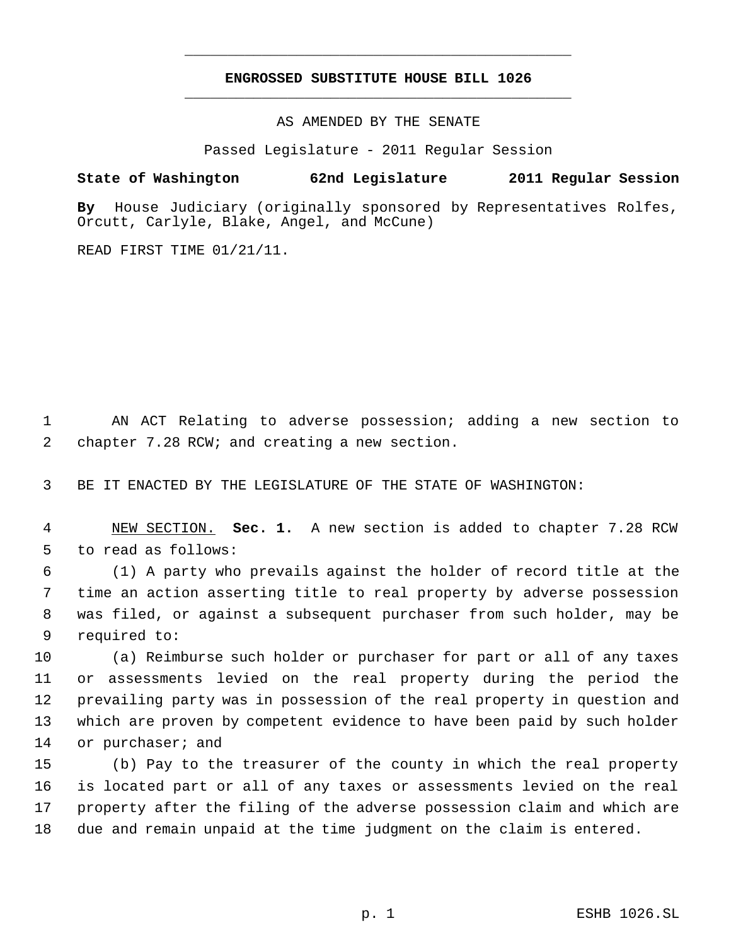# **ENGROSSED SUBSTITUTE HOUSE BILL 1026** \_\_\_\_\_\_\_\_\_\_\_\_\_\_\_\_\_\_\_\_\_\_\_\_\_\_\_\_\_\_\_\_\_\_\_\_\_\_\_\_\_\_\_\_\_

\_\_\_\_\_\_\_\_\_\_\_\_\_\_\_\_\_\_\_\_\_\_\_\_\_\_\_\_\_\_\_\_\_\_\_\_\_\_\_\_\_\_\_\_\_

AS AMENDED BY THE SENATE

Passed Legislature - 2011 Regular Session

## **State of Washington 62nd Legislature 2011 Regular Session**

**By** House Judiciary (originally sponsored by Representatives Rolfes, Orcutt, Carlyle, Blake, Angel, and McCune)

READ FIRST TIME 01/21/11.

 AN ACT Relating to adverse possession; adding a new section to chapter 7.28 RCW; and creating a new section.

BE IT ENACTED BY THE LEGISLATURE OF THE STATE OF WASHINGTON:

 NEW SECTION. **Sec. 1.** A new section is added to chapter 7.28 RCW to read as follows:

 (1) A party who prevails against the holder of record title at the time an action asserting title to real property by adverse possession was filed, or against a subsequent purchaser from such holder, may be required to:

 (a) Reimburse such holder or purchaser for part or all of any taxes or assessments levied on the real property during the period the prevailing party was in possession of the real property in question and which are proven by competent evidence to have been paid by such holder 14 or purchaser; and

 (b) Pay to the treasurer of the county in which the real property is located part or all of any taxes or assessments levied on the real property after the filing of the adverse possession claim and which are due and remain unpaid at the time judgment on the claim is entered.